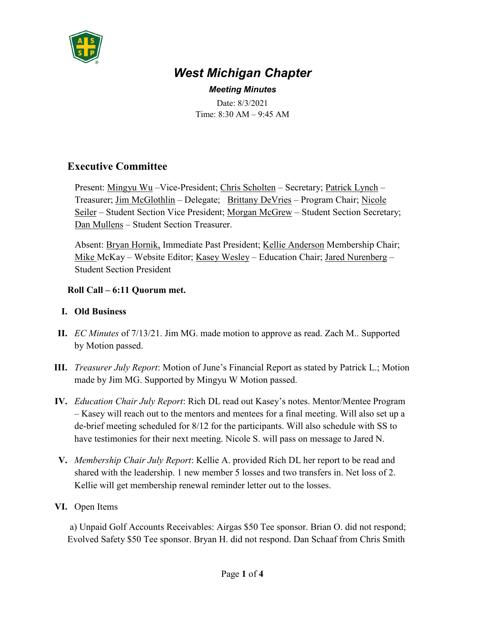

# *West Michigan Chapter*

*Meeting Minutes* Date: 8/3/2021 Time: 8:30 AM – 9:45 AM

# **Executive Committee**

Present: Mingyu Wu –Vice-President; Chris Scholten – Secretary; Patrick Lynch – Treasurer; Jim McGlothlin – Delegate; Brittany DeVries – Program Chair; Nicole Seiler – Student Section Vice President; Morgan McGrew – Student Section Secretary; Dan Mullens – Student Section Treasurer.

Absent: Bryan Hornik, Immediate Past President; Kellie Anderson Membership Chair; Mike McKay – Website Editor; Kasey Wesley – Education Chair; Jared Nurenberg – Student Section President

#### **Roll Call – 6:11 Quorum met.**

## **I. Old Business**

- **II.** *EC Minutes* of 7/13/21. Jim MG. made motion to approve as read. Zach M.. Supported by Motion passed.
- **III.** *Treasurer July Report*: Motion of June's Financial Report as stated by Patrick L.; Motion made by Jim MG. Supported by Mingyu W Motion passed.
- **IV.** *Education Chair July Report*: Rich DL read out Kasey's notes. Mentor/Mentee Program – Kasey will reach out to the mentors and mentees for a final meeting. Will also set up a de-brief meeting scheduled for 8/12 for the participants. Will also schedule with SS to have testimonies for their next meeting. Nicole S. will pass on message to Jared N.
- **V.** *Membership Chair July Report*: Kellie A. provided Rich DL her report to be read and shared with the leadership. 1 new member 5 losses and two transfers in. Net loss of 2. Kellie will get membership renewal reminder letter out to the losses.
- **VI.** Open Items

a) Unpaid Golf Accounts Receivables: Airgas \$50 Tee sponsor. Brian O. did not respond; Evolved Safety \$50 Tee sponsor. Bryan H. did not respond. Dan Schaaf from Chris Smith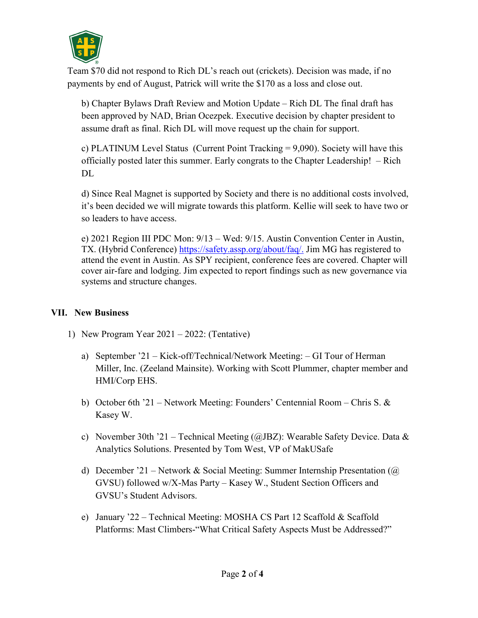

Team \$70 did not respond to Rich DL's reach out (crickets). Decision was made, if no payments by end of August, Patrick will write the \$170 as a loss and close out.

b) Chapter Bylaws Draft Review and Motion Update – Rich DL The final draft has been approved by NAD, Brian Ocezpek. Executive decision by chapter president to assume draft as final. Rich DL will move request up the chain for support.

c) PLATINUM Level Status (Current Point Tracking = 9,090). Society will have this officially posted later this summer. Early congrats to the Chapter Leadership! – Rich DL.

d) Since Real Magnet is supported by Society and there is no additional costs involved, it's been decided we will migrate towards this platform. Kellie will seek to have two or so leaders to have access.

e) 2021 Region III PDC Mon: 9/13 – Wed: 9/15. Austin Convention Center in Austin, TX. (Hybrid Conference) [https://safety.assp.org/about/faq/.](https://safety.assp.org/about/faq/) Jim MG has registered to attend the event in Austin. As SPY recipient, conference fees are covered. Chapter will cover air-fare and lodging. Jim expected to report findings such as new governance via systems and structure changes.

## **VII. New Business**

- 1) New Program Year 2021 2022: (Tentative)
	- a) September '21 Kick-off/Technical/Network Meeting: GI Tour of Herman Miller, Inc. (Zeeland Mainsite). Working with Scott Plummer, chapter member and HMI/Corp EHS.
	- b) October 6th '21 Network Meeting: Founders' Centennial Room Chris S. & Kasey W.
	- c) November 30th '21 Technical Meeting ( $\omega$ JBZ): Wearable Safety Device. Data & Analytics Solutions. Presented by Tom West, VP of MakUSafe
	- d) December '21 Network & Social Meeting: Summer Internship Presentation ( $\omega$ ) GVSU) followed w/X-Mas Party – Kasey W., Student Section Officers and GVSU's Student Advisors.
	- e) January '22 Technical Meeting: MOSHA CS Part 12 Scaffold & Scaffold Platforms: Mast Climbers-"What Critical Safety Aspects Must be Addressed?"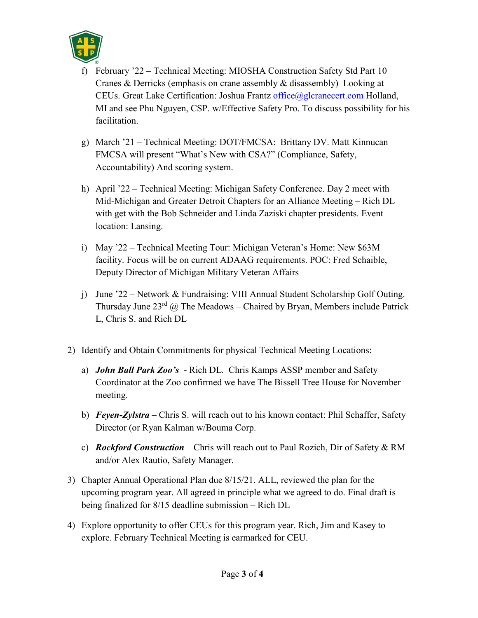

- f) February '22 Technical Meeting: MIOSHA Construction Safety Std Part 10 Cranes & Derricks (emphasis on crane assembly & disassembly) Looking at CEUs. Great Lake Certification: Joshua Frantz [office@glcranecert.com](mailto:office@glcranecert.com) Holland, MI and see Phu Nguyen, CSP. w/Effective Safety Pro. To discuss possibility for his facilitation.
- g) March '21 Technical Meeting: DOT/FMCSA: Brittany DV. Matt Kinnucan FMCSA will present "What's New with CSA?" (Compliance, Safety, Accountability) And scoring system.
- h) April '22 Technical Meeting: Michigan Safety Conference. Day 2 meet with Mid-Michigan and Greater Detroit Chapters for an Alliance Meeting – Rich DL with get with the Bob Schneider and Linda Zaziski chapter presidents. Event location: Lansing.
- i) May '22 Technical Meeting Tour: Michigan Veteran's Home: New \$63M facility. Focus will be on current ADAAG requirements. POC: Fred Schaible, Deputy Director of Michigan Military Veteran Affairs
- j) June '22 Network & Fundraising: VIII Annual Student Scholarship Golf Outing. Thursday June  $23^{rd}$  @ The Meadows – Chaired by Bryan, Members include Patrick L, Chris S. and Rich DL
- 2) Identify and Obtain Commitments for physical Technical Meeting Locations:
	- a) *John Ball Park Zoo's*  Rich DL. Chris Kamps ASSP member and Safety Coordinator at the Zoo confirmed we have The Bissell Tree House for November meeting.
	- b) *Feyen-Zylstra*  Chris S. will reach out to his known contact: Phil Schaffer, Safety Director (or Ryan Kalman w/Bouma Corp.
	- c) *Rockford Construction* Chris will reach out to Paul Rozich, Dir of Safety & RM and/or Alex Rautio, Safety Manager.
- 3) Chapter Annual Operational Plan due 8/15/21. ALL, reviewed the plan for the upcoming program year. All agreed in principle what we agreed to do. Final draft is being finalized for 8/15 deadline submission – Rich DL
- 4) Explore opportunity to offer CEUs for this program year. Rich, Jim and Kasey to explore. February Technical Meeting is earmarked for CEU.